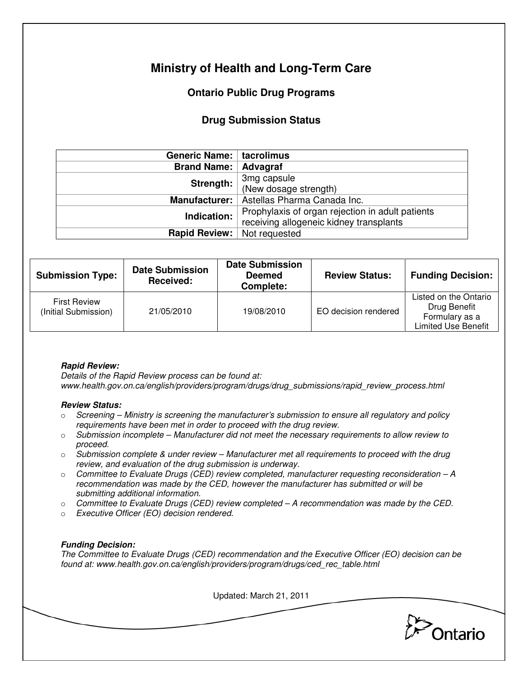# **Ministry of Health and Long-Term Care**

# **Ontario Public Drug Programs**

## **Drug Submission Status**

| Generic Name:   tacrolimus |                                                  |  |  |
|----------------------------|--------------------------------------------------|--|--|
| <b>Brand Name:</b>         | Advagraf                                         |  |  |
| Strength:                  | 3mg capsule                                      |  |  |
|                            | (New dosage strength)                            |  |  |
| <b>Manufacturer:</b>       | Astellas Pharma Canada Inc.                      |  |  |
| Indication:                | Prophylaxis of organ rejection in adult patients |  |  |
|                            | receiving allogeneic kidney transplants          |  |  |
| <b>Rapid Review:</b>       | Not requested                                    |  |  |

| <b>Submission Type:</b>                     | <b>Date Submission</b><br>Received: | <b>Date Submission</b><br><b>Deemed</b><br>Complete: | <b>Review Status:</b> | <b>Funding Decision:</b>                                                              |
|---------------------------------------------|-------------------------------------|------------------------------------------------------|-----------------------|---------------------------------------------------------------------------------------|
| <b>First Review</b><br>(Initial Submission) | 21/05/2010                          | 19/08/2010                                           | EO decision rendered  | Listed on the Ontario<br>Drug Benefit<br>Formulary as a<br><b>Limited Use Benefit</b> |

## **Rapid Review:**

Details of the Rapid Review process can be found at: www.health.gov.on.ca/english/providers/program/drugs/drug\_submissions/rapid\_review\_process.html

### **Review Status:**

- $\circ$  Screening Ministry is screening the manufacturer's submission to ensure all regulatory and policy requirements have been met in order to proceed with the drug review.
- $\circ$  Submission incomplete Manufacturer did not meet the necessary requirements to allow review to proceed.
- $\circ$  Submission complete & under review Manufacturer met all requirements to proceed with the drug review, and evaluation of the drug submission is underway.
- $\circ$  Committee to Evaluate Drugs (CED) review completed, manufacturer requesting reconsideration A recommendation was made by the CED, however the manufacturer has submitted or will be submitting additional information.
- $\circ$  Committee to Evaluate Drugs (CED) review completed  $-A$  recommendation was made by the CED.
- o Executive Officer (EO) decision rendered.

### **Funding Decision:**

The Committee to Evaluate Drugs (CED) recommendation and the Executive Officer (EO) decision can be found at: www.health.gov.on.ca/english/providers/program/drugs/ced\_rec\_table.html

Updated: March 21, 2011